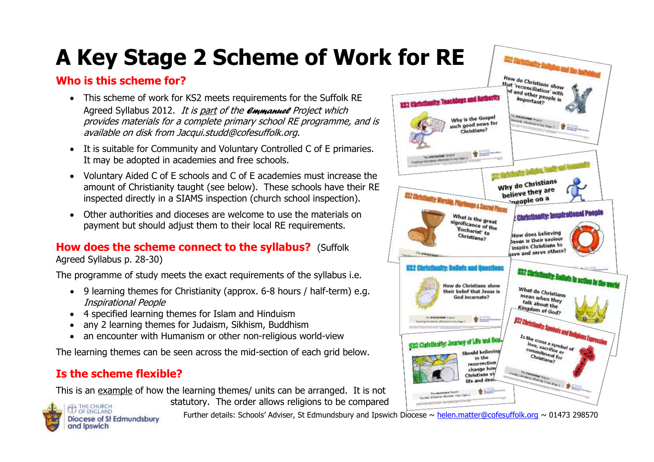# **A Key Stage 2 Scheme of Work for RE**

## **Who is this scheme for?**

- This scheme of work for KS2 meets requirements for the Suffolk RE Agreed Syllabus 2012. It is part of the *Emmanuel* Project which provides materials for a complete primary school RE programme, and is available on disk from Jacqui.studd@cofesuffolk.org.
- It is suitable for Community and Voluntary Controlled C of E primaries. It may be adopted in academies and free schools.
- Voluntary Aided C of E schools and C of E academies must increase the amount of Christianity taught (see below). These schools have their RE inspected directly in a SIAMS inspection (church school inspection).
- Other authorities and dioceses are welcome to use the materials on payment but should adjust them to their local RE requirements.

# **How does the scheme connect to the syllabus?** (Suffolk

Agreed Syllabus p. 28-30)

The programme of study meets the exact requirements of the syllabus i.e.

- 9 learning themes for Christianity (approx. 6-8 hours / half-term) e.g. Inspirational People
- 4 specified learning themes for Islam and Hinduism
- any 2 learning themes for Judaism, Sikhism, Buddhism
- an encounter with Humanism or other non-religious world-view

The learning themes can be seen across the mid-section of each grid below.

# **Is the scheme flexible?**

This is an example of how the learning themes/ units can be arranged. It is not statutory. The order allows religions to be compared



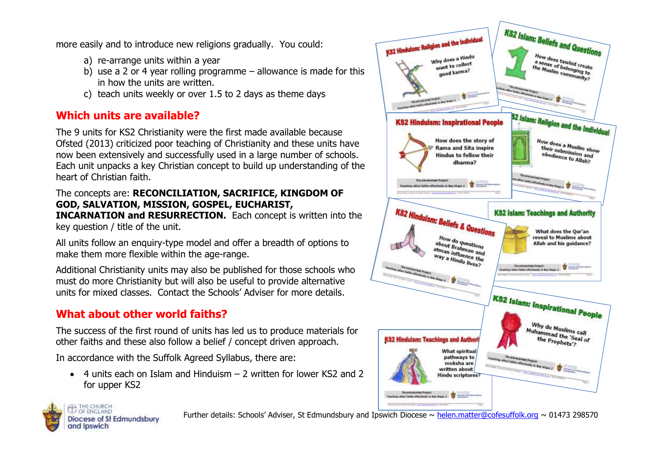more easily and to introduce new religions gradually. You could:

- a) re-arrange units within a year
- b) use a 2 or 4 year rolling programme allowance is made for this in how the units are written.
- c) teach units weekly or over 1.5 to 2 days as theme days

## **Which units are available?**

The 9 units for KS2 Christianity were the first made available because Ofsted (2013) criticized poor teaching of Christianity and these units have now been extensively and successfully used in a large number of schools. Each unit unpacks a key Christian concept to build up understanding of the heart of Christian faith.

#### The concepts are: **RECONCILIATION, SACRIFICE, KINGDOM OF GOD, SALVATION, MISSION, GOSPEL, EUCHARIST,**

**INCARNATION and RESURRECTION.** Each concept is written into the key question / title of the unit.

All units follow an enquiry-type model and offer a breadth of options to make them more flexible within the age-range.

Additional Christianity units may also be published for those schools who must do more Christianity but will also be useful to provide alternative units for mixed classes. Contact the Schools' Adviser for more details.

# **What about other world faiths?**

The success of the first round of units has led us to produce materials for other faiths and these also follow a belief / concept driven approach.

In accordance with the Suffolk Agreed Syllabus, there are:

 $\bullet$  4 units each on Islam and Hinduism  $-$  2 written for lower KS2 and 2 for upper KS2



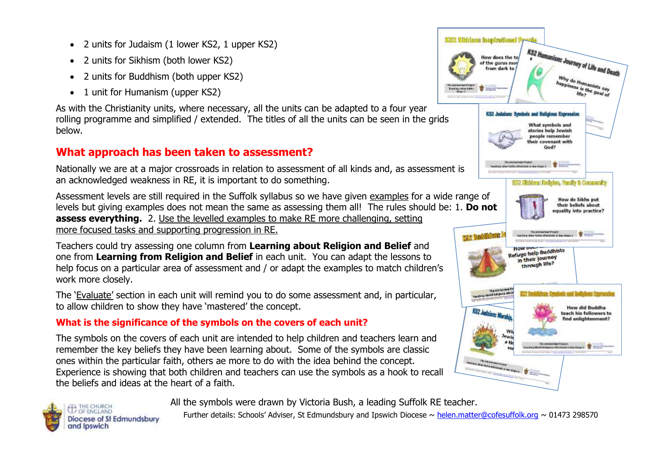- 2 units for Judaism (1 lower KS2, 1 upper KS2)
- 2 units for Sikhism (both lower KS2)
- 2 units for Buddhism (both upper KS2)
- 1 unit for Humanism (upper KS2)

As with the Christianity units, where necessary, all the units can be adapted to a four year rolling programme and simplified / extended. The titles of all the units can be seen in the grids below.

### **What approach has been taken to assessment?**

Nationally we are at a major crossroads in relation to assessment of all kinds and, as assessment is an acknowledged weakness in RE, it is important to do something.

Assessment levels are still required in the Suffolk syllabus so we have given examples for a wide range of levels but giving examples does not mean the same as assessing them all! The rules should be: 1. **Do not assess everything.** 2. Use the levelled examples to make RE more challenging, setting more focused tasks and supporting progression in RE.

Teachers could try assessing one column from **Learning about Religion and Belief** and one from **Learning from Religion and Belief** in each unit. You can adapt the lessons to help focus on a particular area of assessment and / or adapt the examples to match children's work more closely.

The 'Evaluate' section in each unit will remind you to do some assessment and, in particular, to allow children to show they have 'mastered' the concept.

#### **What is the significance of the symbols on the covers of each unit?**

The symbols on the covers of each unit are intended to help children and teachers learn and remember the key beliefs they have been learning about. Some of the symbols are classic ones within the particular faith, others ae more to do with the idea behind the concept. Experience is showing that both children and teachers can use the symbols as a hook to recall the beliefs and ideas at the heart of a faith.

Why do Humanists say<br>appiness is the good iness is the goal of<br>life? We? We? KS2 Judaism: Symbols and Religious Expression What symbols and stories help Jewish people remember eir covenant with God? 53 **Insultana rather facility alliactionals in their fitiges it** 1052 Sliddayg Rolleiso, Franky & Community How do Sikhs put their beliefs about quality into practice? **TER BUILDINGS IN** The anti-station from the Majo 2 How welp Buddhists in their journey through life? **How did Buddha**  $K_{22}$  but  $L$ teach his followers to find enlightenment? **Honda House & Co The Continental Property of Continental Property of Continental Property of Continental Property of Continent** 

KS2 Humanism: Journey of Life and Death

**EXX** Sidriare inspirational P

How does the te of the gurus mot from dark to



All the symbols were drawn by Victoria Bush, a leading Suffolk RE teacher.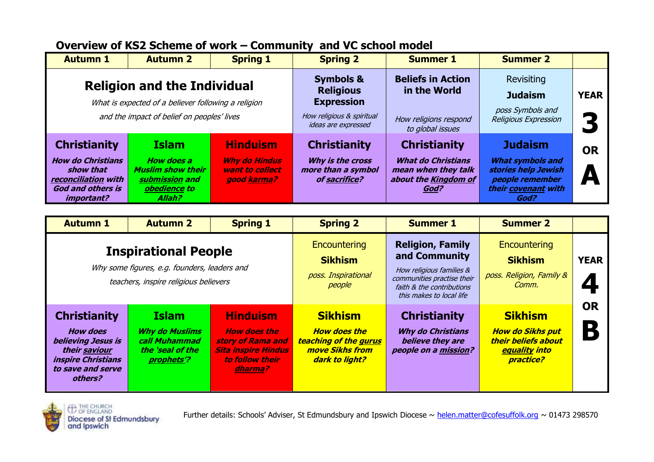| Overview of KS2 Scheme of work – Community and VC school model |  |
|----------------------------------------------------------------|--|
|----------------------------------------------------------------|--|

| <b>Autumn 1</b>                                                                           | <b>Autumn 2</b>                                                                 | <b>Spring 1</b>                                        | <b>Spring 2</b>                                         | <b>Summer 1</b>                                                                  | <b>Summer 2</b>                                                                          |             |
|-------------------------------------------------------------------------------------------|---------------------------------------------------------------------------------|--------------------------------------------------------|---------------------------------------------------------|----------------------------------------------------------------------------------|------------------------------------------------------------------------------------------|-------------|
|                                                                                           |                                                                                 |                                                        | <b>Symbols &amp;</b>                                    | <b>Beliefs in Action</b>                                                         | Revisiting                                                                               |             |
| <b>Religion and the Individual</b><br>What is expected of a believer following a religion |                                                                                 |                                                        | <b>Religious</b><br><b>Expression</b>                   | in the World                                                                     | <b>Judaism</b>                                                                           | <b>YEAR</b> |
| and the impact of belief on peoples' lives                                                |                                                                                 |                                                        | How religious & spiritual<br>ideas are expressed        | How religions respond<br>to global issues                                        | poss Symbols and<br>Religious Expression                                                 |             |
| <b>Christianity</b>                                                                       | <b>Islam</b>                                                                    | <b>Hinduism</b>                                        | <b>Christianity</b>                                     | <b>Christianity</b>                                                              | <b>Judaism</b>                                                                           | <b>OR</b>   |
| <b>How do Christians</b><br>show that<br>reconciliation with<br><b>God and others is</b>  | <b>How does a</b><br><b>Muslim show their</b><br>submission and<br>obedience to | <b>Why do Hindus</b><br>want to collect<br>good karma? | Why is the cross<br>more than a symbol<br>of sacrifice? | <b>What do Christians</b><br>mean when they talk<br>about the Kingdom of<br>God? | <b>What symbols and</b><br>stories help Jewish<br>people remember<br>their covenant with | A           |
| <i>important?</i>                                                                         | Allah?                                                                          |                                                        |                                                         |                                                                                  | God?                                                                                     |             |

| <b>Autumn 1</b>                                                                                                                                          | <b>Autumn 2</b>                                                                          | <b>Spring 1</b>                                                                                                         | <b>Spring 2</b>                                                                                            | <b>Summer 1</b>                                                                                                                                             | <b>Summer 2</b>                                                                                                     |                                       |
|----------------------------------------------------------------------------------------------------------------------------------------------------------|------------------------------------------------------------------------------------------|-------------------------------------------------------------------------------------------------------------------------|------------------------------------------------------------------------------------------------------------|-------------------------------------------------------------------------------------------------------------------------------------------------------------|---------------------------------------------------------------------------------------------------------------------|---------------------------------------|
| <b>Inspirational People</b><br>Why some figures, e.g. founders, leaders and<br>teachers, inspire religious believers                                     |                                                                                          |                                                                                                                         | Encountering<br><b>Sikhism</b><br>poss. Inspirational<br>people                                            | <b>Religion, Family</b><br>and Community<br>How religious families &<br>communities practise their<br>faith & the contributions<br>this makes to local life | <b>Encountering</b><br><b>Sikhism</b><br>poss. Religion, Family &<br>Comm.                                          | <b>YEAR</b><br>$\blacktriangleleft$   |
| <b>Christianity</b><br><b>How does</b><br><b>believing Jesus is</b><br>their saviour<br><i><b>inspire Christians</b></i><br>to save and serve<br>others? | <b>Islam</b><br><b>Why do Muslims</b><br>call Muhammad<br>the 'seal of the<br>prophets'? | <b>Hinduism</b><br><b>How does the</b><br>story of Rama and<br><b>Sita inspire Hindus</b><br>to follow their<br>dharma? | <b>Sikhism</b><br><b>How does the</b><br><b>teaching of the gurus</b><br>move Sikhs from<br>dark to light? | <b>Christianity</b><br><b>Why do Christians</b><br>believe they are<br>people on a mission?                                                                 | <b>Sikhism</b><br><b>How do Sikhs put</b><br>their beliefs about<br><b>equality into</b><br><i><b>practice?</b></i> | <b>OR</b><br>$\overline{\phantom{a}}$ |

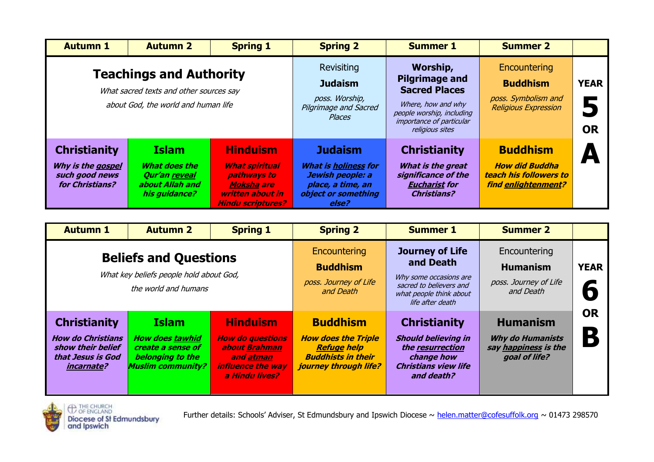| <b>Autumn 1</b>                                                                                                  | <b>Autumn 2</b>                                                                    | <b>Spring 1</b>                                                                                                              | <b>Spring 2</b>                                                                                                        | <b>Summer 1</b>                                                                                                                                             | <b>Summer 2</b>                                                                           |                               |
|------------------------------------------------------------------------------------------------------------------|------------------------------------------------------------------------------------|------------------------------------------------------------------------------------------------------------------------------|------------------------------------------------------------------------------------------------------------------------|-------------------------------------------------------------------------------------------------------------------------------------------------------------|-------------------------------------------------------------------------------------------|-------------------------------|
| <b>Teachings and Authority</b><br>What sacred texts and other sources say<br>about God, the world and human life |                                                                                    |                                                                                                                              | <b>Revisiting</b><br><b>Judaism</b><br>poss. Worship,<br>Pilgrimage and Sacred<br>Places                               | Worship,<br><b>Pilgrimage and</b><br><b>Sacred Places</b><br>Where, how and why<br>people worship, including<br>importance of particular<br>religious sites | Encountering<br><b>Buddhism</b><br>poss. Symbolism and<br><b>Religious Expression</b>     | <b>YEAR</b><br>5<br><b>OR</b> |
| <b>Christianity</b><br>Why is the gospel<br>such good news<br>for Christians?                                    | <b>Islam</b><br>What does the<br>Qur'an reveal<br>about Allah and<br>his guidance? | <b>Hinduism</b><br><b>What spiritual</b><br>pathways to<br><b>Moksha are</b><br>written about in<br><b>Hindu scriptures?</b> | <b>Judaism</b><br><b>What is holiness for</b><br>Jewish people: a<br>place, a time, an<br>object or something<br>else? | <b>Christianity</b><br>What is the great<br>significance of the<br><b>Eucharist for</b><br><b>Christians?</b>                                               | <b>Buddhism</b><br><b>How did Buddha</b><br>teach his followers to<br>find enlightenment? |                               |

| <b>Autumn 1</b>                                                                                                | <b>Autumn 2</b>                                                                                             | <b>Spring 1</b>                                                                                                        | <b>Spring 2</b>                                                                                                           | <b>Summer 1</b>                                                                                                                         | <b>Summer 2</b>                                                                     |                                       |
|----------------------------------------------------------------------------------------------------------------|-------------------------------------------------------------------------------------------------------------|------------------------------------------------------------------------------------------------------------------------|---------------------------------------------------------------------------------------------------------------------------|-----------------------------------------------------------------------------------------------------------------------------------------|-------------------------------------------------------------------------------------|---------------------------------------|
| <b>Beliefs and Questions</b><br>What key beliefs people hold about God,<br>the world and humans                |                                                                                                             |                                                                                                                        | Encountering<br><b>Buddhism</b><br>poss. Journey of Life<br>and Death                                                     | <b>Journey of Life</b><br>and Death<br>Why some occasions are<br>sacred to believers and<br>what people think about<br>life after death | Encountering<br><b>Humanism</b><br>poss. Journey of Life<br>and Death               | <b>YEAR</b><br>0                      |
| <b>Christianity</b><br><b>How do Christians</b><br>show their belief<br>that Jesus is God<br><i>incarnate?</i> | <b>Islam</b><br><b>How does tawhid</b><br>create a sense of<br>belonging to the<br><b>Muslim community?</b> | <b>Hinduism</b><br><b>How do questions</b><br>about Brahman<br>and atman<br><b>influence the way</b><br>a Hindu lives? | <b>Buddhism</b><br><b>How does the Triple</b><br><b>Refuge help</b><br><b>Buddhists in their</b><br>journey through life? | <b>Christianity</b><br><b>Should believing in</b><br>the resurrection<br>change how<br><b>Christians view life</b><br>and death?        | <b>Humanism</b><br><b>Why do Humanists</b><br>say happiness is the<br>goal of life? | <b>OR</b><br>$\overline{\phantom{a}}$ |



THE CHURCH Diocese of St Edmundsbury<br>and Ipswich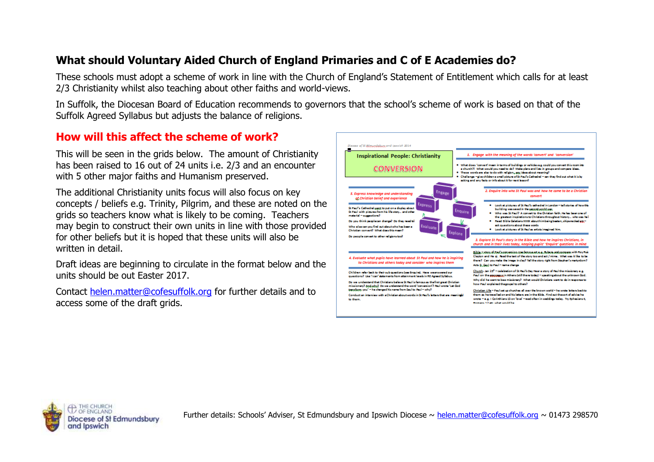## **What should Voluntary Aided Church of England Primaries and C of E Academies do?**

These schools must adopt a scheme of work in line with the Church of England's Statement of Entitlement which calls for at least 2/3 Christianity whilst also teaching about other faiths and world-views.

In Suffolk, the Diocesan Board of Education recommends to governors that the school's scheme of work is based on that of the Suffolk Agreed Syllabus but adjusts the balance of religions.

#### **How will this affect the scheme of work?**

This will be seen in the grids below. The amount of Christianity has been raised to 16 out of 24 units i.e. 2/3 and an encounter with 5 other major faiths and Humanism preserved.

The additional Christianity units focus will also focus on key concepts / beliefs e.g. Trinity, Pilgrim, and these are noted on the grids so teachers know what is likely to be coming. Teachers may begin to construct their own units in line with those provided for other beliefs but it is hoped that these units will also be written in detail.

Draft ideas are beginning to circulate in the format below and the units should be out Easter 2017.

Contact [helen.matter@cofesuffolk.org](mailto:helen.matter@cofesuffolk.org) for further details and to access some of the draft grids.



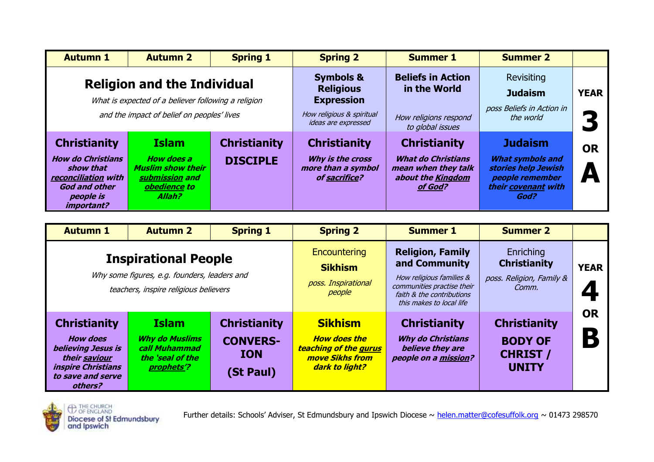| <b>Autumn 1</b>                                                                                                 | <b>Autumn 2</b>                                                                           | <b>Spring 1</b>                                  | <b>Spring 2</b>                                         | <b>Summer 1</b>                                                                  | <b>Summer 2</b>                                                                                  |             |
|-----------------------------------------------------------------------------------------------------------------|-------------------------------------------------------------------------------------------|--------------------------------------------------|---------------------------------------------------------|----------------------------------------------------------------------------------|--------------------------------------------------------------------------------------------------|-------------|
| <b>Religion and the Individual</b>                                                                              |                                                                                           |                                                  | <b>Symbols &amp;</b>                                    | <b>Beliefs in Action</b>                                                         | Revisiting                                                                                       |             |
| What is expected of a believer following a religion                                                             |                                                                                           |                                                  | <b>Religious</b><br><b>Expression</b>                   | in the World                                                                     | <b>Judaism</b>                                                                                   | <b>YEAR</b> |
| and the impact of belief on peoples' lives                                                                      |                                                                                           | How religious & spiritual<br>ideas are expressed | How religions respond<br>to global issues               | poss Beliefs in Action in<br>the world                                           |                                                                                                  |             |
| <b>Christianity</b><br><b>Christianity</b><br><b>Islam</b>                                                      |                                                                                           |                                                  | <b>Christianity</b>                                     | <b>Christianity</b>                                                              | <b>Judaism</b>                                                                                   | <b>OR</b>   |
| <b>How do Christians</b><br>show that<br>reconciliation with<br><b>God and other</b><br>people is<br>important? | <b>How does a</b><br><b>Muslim show their</b><br>submission and<br>obedience to<br>Allah? | <b>DISCIPLE</b>                                  | Why is the cross<br>more than a symbol<br>of sacrifice? | <b>What do Christians</b><br>mean when they talk<br>about the Kingdom<br>of God? | <b>What symbols and</b><br>stories help Jewish<br>people remember<br>their covenant with<br>God? | A           |

| <b>Autumn 1</b>                                                                                                                                                                                                                                                                                                                       | <b>Autumn 2</b> | <b>Spring 1</b>                                                                                            | <b>Spring 2</b>                                                                             | <b>Summer 1</b>                                                                                                                                             | <b>Summer 2</b>                                                       |             |
|---------------------------------------------------------------------------------------------------------------------------------------------------------------------------------------------------------------------------------------------------------------------------------------------------------------------------------------|-----------------|------------------------------------------------------------------------------------------------------------|---------------------------------------------------------------------------------------------|-------------------------------------------------------------------------------------------------------------------------------------------------------------|-----------------------------------------------------------------------|-------------|
| <b>Inspirational People</b><br>Why some figures, e.g. founders, leaders and<br>teachers, inspire religious believers                                                                                                                                                                                                                  |                 |                                                                                                            | Encountering<br><b>Sikhism</b><br>poss. Inspirational<br>people                             | <b>Religion, Family</b><br>and Community<br>How religious families &<br>communities practise their<br>faith & the contributions<br>this makes to local life | Enriching<br><b>Christianity</b><br>poss. Religion, Family &<br>Comm. | <b>YEAR</b> |
| <b>Islam</b><br><b>Christianity</b><br><b>Christianity</b><br><b>How does</b><br><b>Why do Muslims</b><br><b>CONVERS-</b><br><b>believing Jesus is</b><br>call Muhammad<br><b>ION</b><br>their saviour<br>the 'seal of the<br><i><b>inspire Christians</b></i><br>prophets <sup>'?</sup><br>(St Paul)<br>to save and serve<br>others? |                 | <b>Sikhism</b><br><b>How does the</b><br><b>teaching of the gurus</b><br>move Sikhs from<br>dark to light? | <b>Christianity</b><br><b>Why do Christians</b><br>believe they are<br>people on a mission? | <b>Christianity</b><br><b>BODY OF</b><br><b>CHRIST /</b><br><b>UNITY</b>                                                                                    | <b>OR</b><br>$\overline{\phantom{a}}$                                 |             |



THE CHURCH Diocese of St Edmundsbury<br>and Ipswich